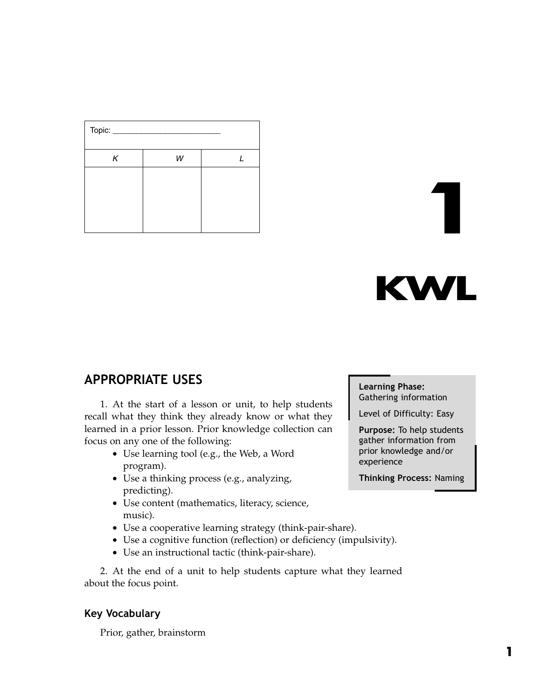| Topic: |   |  |
|--------|---|--|
| K      | W |  |
|        |   |  |
|        |   |  |
|        |   |  |
|        |   |  |

# **KWL**

1

# APPROPRIATE USES

1. At the start of a lesson or unit, to help students recall what they think they already know or what they learned in a prior lesson. Prior knowledge collection can focus on any one of the following:

- Use learning tool (e.g., the Web, a Word program).
- Use a thinking process (e.g., analyzing, predicting).
- Use content (mathematics, literacy, science, music).
- Use a cooperative learning strategy (think-pair-share).
- Use a cognitive function (reflection) or deficiency (impulsivity).
- Use an instructional tactic (think-pair-share).

2. At the end of a unit to help students capture what they learned about the focus point.

#### Key Vocabulary

Prior, gather, brainstorm

#### Learning Phase: Gathering information

Level of Difficulty: Easy

Purpose: To help students gather information from prior knowledge and/or experience

Thinking Process: Naming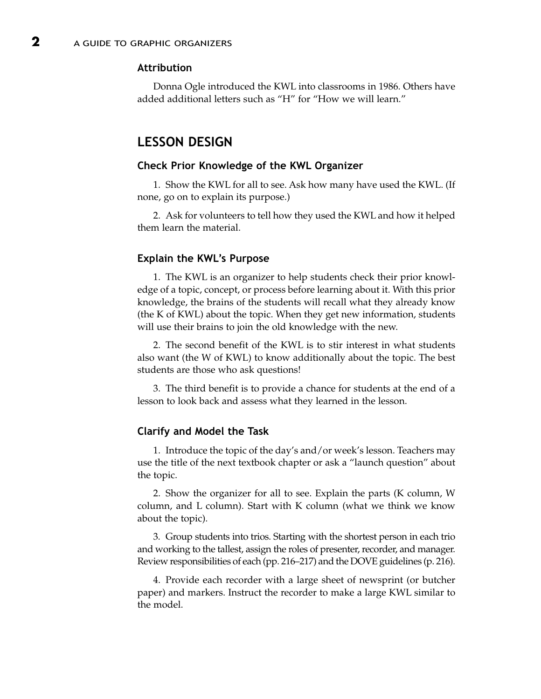#### Attribution

Donna Ogle introduced the KWL into classrooms in 1986. Others have added additional letters such as "H" for "How we will learn."

## LESSON DESIGN

#### Check Prior Knowledge of the KWL Organizer

1. Show the KWL for all to see. Ask how many have used the KWL. (If none, go on to explain its purpose.)

2. Ask for volunteers to tell how they used the KWL and how it helped them learn the material.

#### Explain the KWL's Purpose

1. The KWL is an organizer to help students check their prior knowledge of a topic, concept, or process before learning about it. With this prior knowledge, the brains of the students will recall what they already know (the K of KWL) about the topic. When they get new information, students will use their brains to join the old knowledge with the new.

2. The second benefit of the KWL is to stir interest in what students also want (the W of KWL) to know additionally about the topic. The best students are those who ask questions!

3. The third benefit is to provide a chance for students at the end of a lesson to look back and assess what they learned in the lesson.

#### Clarify and Model the Task

1. Introduce the topic of the day's and/or week's lesson. Teachers may use the title of the next textbook chapter or ask a "launch question" about the topic.

2. Show the organizer for all to see. Explain the parts (K column, W column, and L column). Start with K column (what we think we know about the topic).

3. Group students into trios. Starting with the shortest person in each trio and working to the tallest, assign the roles of presenter, recorder, and manager. Review responsibilities of each (pp. 216–217) and the DOVE guidelines (p. 216).

4. Provide each recorder with a large sheet of newsprint (or butcher paper) and markers. Instruct the recorder to make a large KWL similar to the model.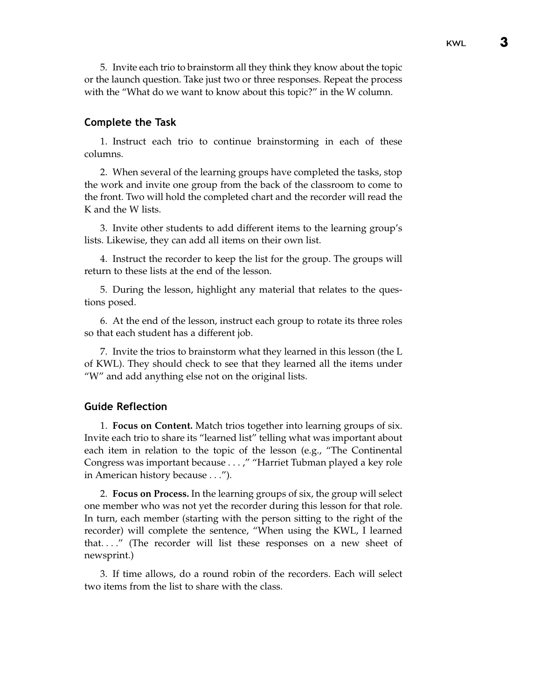5. Invite each trio to brainstorm all they think they know about the topic or the launch question. Take just two or three responses. Repeat the process with the "What do we want to know about this topic?" in the W column.

#### Complete the Task

1. Instruct each trio to continue brainstorming in each of these columns.

2. When several of the learning groups have completed the tasks, stop the work and invite one group from the back of the classroom to come to the front. Two will hold the completed chart and the recorder will read the K and the W lists.

3. Invite other students to add different items to the learning group's lists. Likewise, they can add all items on their own list.

4. Instruct the recorder to keep the list for the group. The groups will return to these lists at the end of the lesson.

5. During the lesson, highlight any material that relates to the questions posed.

6. At the end of the lesson, instruct each group to rotate its three roles so that each student has a different job.

7. Invite the trios to brainstorm what they learned in this lesson (the L of KWL). They should check to see that they learned all the items under "W" and add anything else not on the original lists.

#### Guide Reflection

1. **Focus on Content.** Match trios together into learning groups of six. Invite each trio to share its "learned list" telling what was important about each item in relation to the topic of the lesson (e.g., "The Continental Congress was important because . . . ," "Harriet Tubman played a key role in American history because . . .").

2. **Focus on Process.** In the learning groups of six, the group will select one member who was not yet the recorder during this lesson for that role. In turn, each member (starting with the person sitting to the right of the recorder) will complete the sentence, "When using the KWL, I learned that. . . ." (The recorder will list these responses on a new sheet of newsprint.)

3. If time allows, do a round robin of the recorders. Each will select two items from the list to share with the class.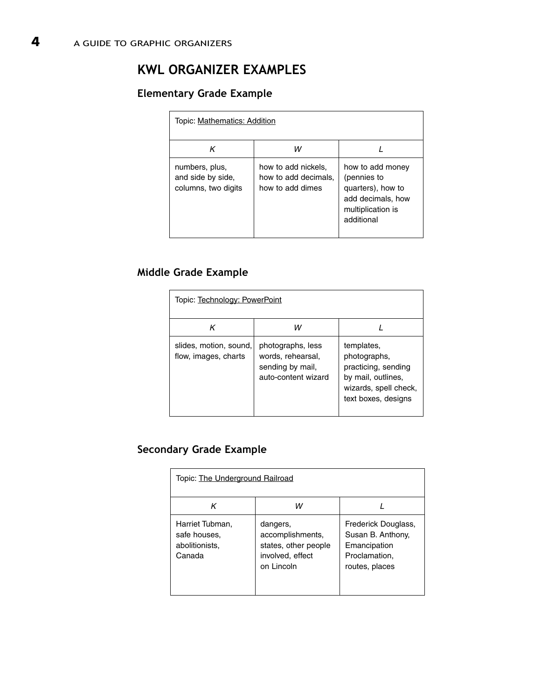# KWL ORGANIZER EXAMPLES

# Elementary Grade Example

| Topic: Mathematics: Addition                               |                                                                 |                                                                                                              |  |  |
|------------------------------------------------------------|-----------------------------------------------------------------|--------------------------------------------------------------------------------------------------------------|--|--|
| κ                                                          | w                                                               |                                                                                                              |  |  |
| numbers, plus,<br>and side by side,<br>columns, two digits | how to add nickels,<br>how to add decimals,<br>how to add dimes | how to add money<br>(pennies to<br>quarters), how to<br>add decimals, how<br>multiplication is<br>additional |  |  |

## Middle Grade Example

| Topic: Technology: PowerPoint                  |                                                                                   |                                                                                                                         |  |  |
|------------------------------------------------|-----------------------------------------------------------------------------------|-------------------------------------------------------------------------------------------------------------------------|--|--|
| κ                                              | w                                                                                 |                                                                                                                         |  |  |
| slides, motion, sound,<br>flow, images, charts | photographs, less<br>words, rehearsal,<br>sending by mail,<br>auto-content wizard | templates.<br>photographs,<br>practicing, sending<br>by mail, outlines,<br>wizards, spell check,<br>text boxes, designs |  |  |

# Secondary Grade Example

| Topic: The Underground Railroad                             |                                                                                        |                                                                                             |  |  |
|-------------------------------------------------------------|----------------------------------------------------------------------------------------|---------------------------------------------------------------------------------------------|--|--|
| κ                                                           | w                                                                                      |                                                                                             |  |  |
| Harriet Tubman,<br>safe houses.<br>abolitionists,<br>Canada | dangers,<br>accomplishments,<br>states, other people<br>involved, effect<br>on Lincoln | Frederick Douglass,<br>Susan B. Anthony,<br>Emancipation<br>Proclamation,<br>routes, places |  |  |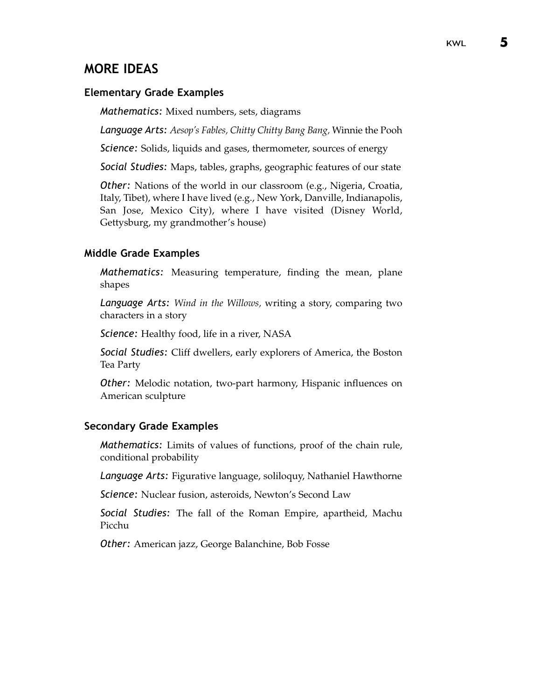# MORE IDEAS

#### Elementary Grade Examples

Mathematics: Mixed numbers, sets, diagrams

Language Arts: *Aesop's Fables, Chitty Chitty Bang Bang,* Winnie the Pooh

Science: Solids, liquids and gases, thermometer, sources of energy

Social Studies: Maps, tables, graphs, geographic features of our state

Other: Nations of the world in our classroom (e.g., Nigeria, Croatia, Italy, Tibet), where I have lived (e.g., New York, Danville, Indianapolis, San Jose, Mexico City), where I have visited (Disney World, Gettysburg, my grandmother's house)

#### Middle Grade Examples

Mathematics: Measuring temperature, finding the mean, plane shapes

Language Arts: *Wind in the Willows,* writing a story, comparing two characters in a story

Science: Healthy food, life in a river, NASA

Social Studies: Cliff dwellers, early explorers of America, the Boston Tea Party

Other: Melodic notation, two-part harmony, Hispanic influences on American sculpture

#### Secondary Grade Examples

Mathematics: Limits of values of functions, proof of the chain rule, conditional probability

Language Arts: Figurative language, soliloquy, Nathaniel Hawthorne

Science: Nuclear fusion, asteroids, Newton's Second Law

Social Studies: The fall of the Roman Empire, apartheid, Machu Picchu

Other: American jazz, George Balanchine, Bob Fosse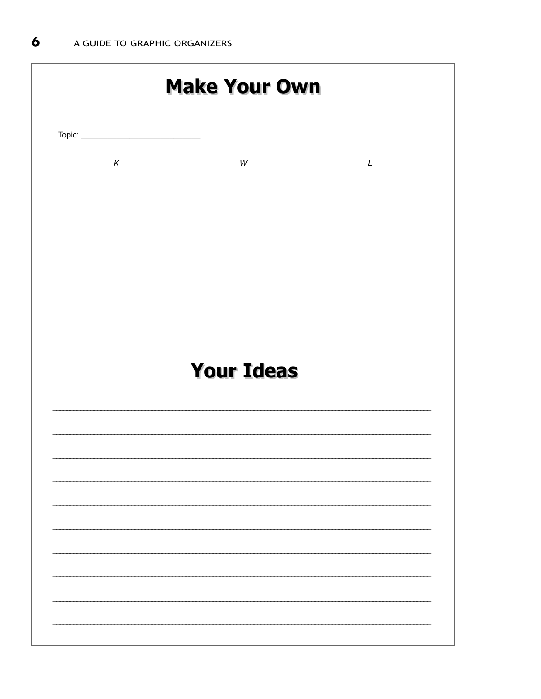